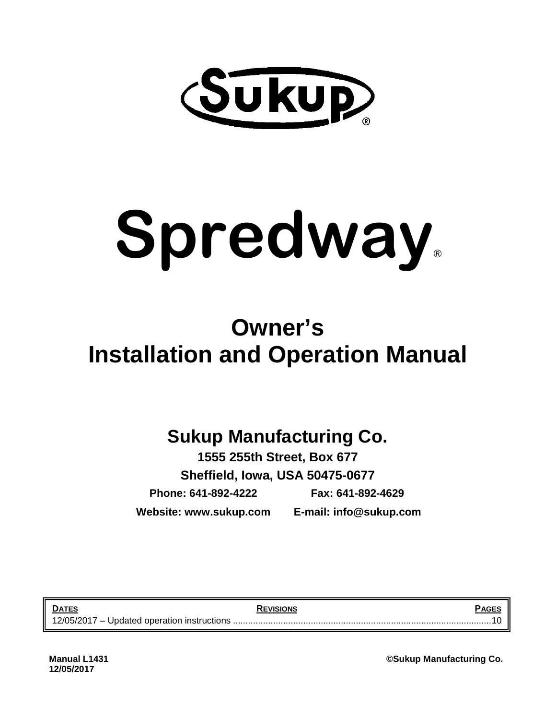

# **Spredway**®

## **Owner's Installation and Operation Manual**

## **Sukup Manufacturing Co.**

**1555 255th Street, Box 677 Sheffield, Iowa, USA 50475-0677 Phone: 641-892-4222 Fax: 641-892-4629 Website: www.sukup.com E-mail: info@sukup.com**

**DATES REVISIONS PAGES** 12/05/2017 – Updated operation instructions ....................................................................................................... 10

**Manual L1431 ©Sukup Manufacturing Co.**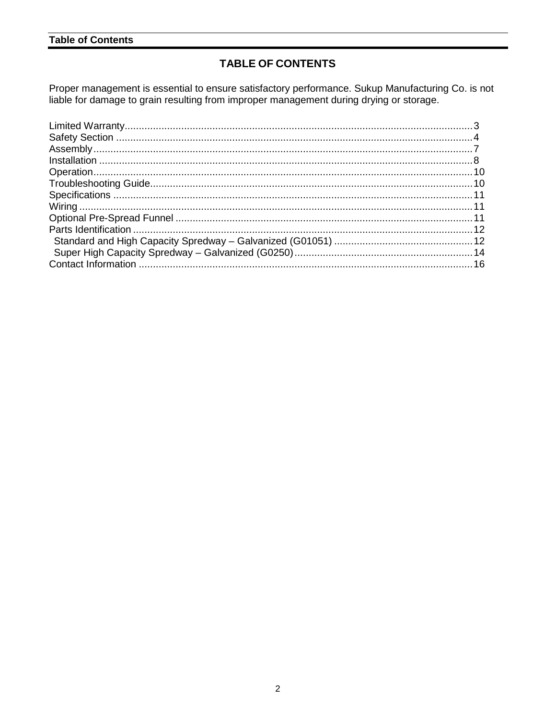#### **Table of Contents**

#### **TABLE OF CONTENTS**

Proper management is essential to ensure satisfactory performance. Sukup Manufacturing Co. is not liable for damage to grain resulting from improper management during drying or storage.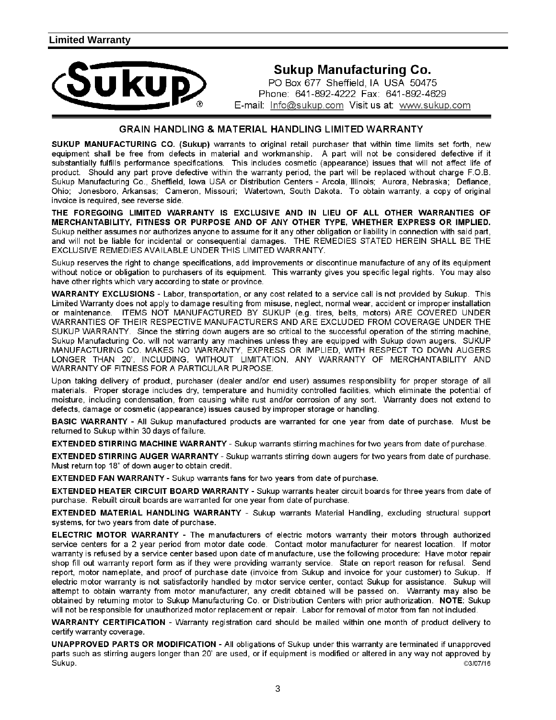

#### **Sukup Manufacturing Co.**

PO Box 677 Sheffield, IA USA 50475 Phone: 641-892-4222 Fax: 641-892-4629 E-mail: Info@sukup.com Visit us at: www.sukup.com

#### **GRAIN HANDLING & MATERIAL HANDLING LIMITED WARRANTY**

SUKUP MANUFACTURING CO. (Sukup) warrants to original retail purchaser that within time limits set forth, new equipment shall be free from defects in material and workmanship. A part will not be considered defective if it substantially fulfills performance specifications. This includes cosmetic (appearance) issues that will not affect life of product. Should any part prove defective within the warranty period, the part will be replaced without charge F.O.B. Sukup Manufacturing Co., Sheffield, Iowa USA or Distribution Centers - Arcola, Illinois; Aurora, Nebraska; Defiance, Ohio; Jonesboro, Arkansas; Cameron, Missouri; Watertown, South Dakota. To obtain warranty, a copy of original invoice is required, see reverse side.

THE FOREGOING LIMITED WARRANTY IS EXCLUSIVE AND IN LIEU OF ALL OTHER WARRANTIES OF MERCHANTABILITY, FITNESS OR PURPOSE AND OF ANY OTHER TYPE, WHETHER EXPRESS OR IMPLIED. Sukup neither assumes nor authorizes anyone to assume for it any other obligation or liability in connection with said part, and will not be liable for incidental or consequential damages. THE REMEDIES STATED HEREIN SHALL BE THE EXCLUSIVE REMEDIES AVAILABLE UNDER THIS LIMITED WARRANTY.

Sukup reserves the right to change specifications, add improvements or discontinue manufacture of any of its equipment without notice or obligation to purchasers of its equipment. This warranty gives you specific legal rights. You may also have other rights which vary according to state or province.

WARRANTY EXCLUSIONS - Labor, transportation, or any cost related to a service call is not provided by Sukup. This Limited Warranty does not apply to damage resulting from misuse, neglect, normal wear, accident or improper installation or maintenance. ITEMS NOT MANUFACTURED BY SUKUP (e.g. tires, belts, motors) ARE COVERED UNDER WARRANTIES OF THEIR RESPECTIVE MANUFACTURERS AND ARE EXCLUDED FROM COVERAGE UNDER THE SUKUP WARRANTY. Since the stirring down augers are so critical to the successful operation of the stirring machine, Sukup Manufacturing Co. will not warranty any machines unless they are equipped with Sukup down augers. SUKUP MANUFACTURING CO. MAKES NO WARRANTY, EXPRESS OR IMPLIED, WITH RESPECT TO DOWN AUGERS LONGER THAN 20', INCLUDING, WITHOUT LIMITATION, ANY WARRANTY OF MERCHANTABILITY AND WARRANTY OF FITNESS FOR A PARTICULAR PURPOSE.

Upon taking delivery of product, purchaser (dealer and/or end user) assumes responsibility for proper storage of all materials. Proper storage includes dry, temperature and humidity controlled facilities, which eliminate the potential of moisture, including condensation, from causing white rust and/or corrosion of any sort. Warranty does not extend to defects, damage or cosmetic (appearance) issues caused by improper storage or handling.

BASIC WARRANTY - All Sukup manufactured products are warranted for one year from date of purchase. Must be returned to Sukup within 30 days of failure.

**EXTENDED STIRRING MACHINE WARRANTY** - Sukup warrants stirring machines for two years from date of purchase.

EXTENDED STIRRING AUGER WARRANTY - Sukup warrants stirring down augers for two years from date of purchase. Must return top 18" of down auger to obtain credit.

EXTENDED FAN WARRANTY - Sukup warrants fans for two years from date of purchase.

EXTENDED HEATER CIRCUIT BOARD WARRANTY - Sukup warrants heater circuit boards for three years from date of purchase. Rebuilt circuit boards are warranted for one year from date of purchase.

EXTENDED MATERIAL HANDLING WARRANTY - Sukup warrants Material Handling, excluding structural support systems, for two years from date of purchase.

ELECTRIC MOTOR WARRANTY - The manufacturers of electric motors warranty their motors through authorized service centers for a 2 year period from motor date code. Contact motor manufacturer for nearest location. If motor warranty is refused by a service center based upon date of manufacture, use the following procedure: Have motor repair shop fill out warranty report form as if they were providing warranty service. State on report reason for refusal. Send report, motor nameplate, and proof of purchase date (invoice from Sukup and invoice for your customer) to Sukup. If electric motor warranty is not satisfactorily handled by motor service center, contact Sukup for assistance. Sukup will attempt to obtain warranty from motor manufacturer, any credit obtained will be passed on. Warranty may also be obtained by returning motor to Sukup Manufacturing Co. or Distribution Centers with prior authorization. NOTE: Sukup will not be responsible for unauthorized motor replacement or repair. Labor for removal of motor from fan not included.

WARRANTY CERTIFICATION - Warranty registration card should be mailed within one month of product delivery to certify warranty coverage.

UNAPPROVED PARTS OR MODIFICATION - All obligations of Sukup under this warranty are terminated if unapproved parts such as stirring augers longer than 20' are used, or if equipment is modified or altered in any way not approved by Sukup. ©3/07/16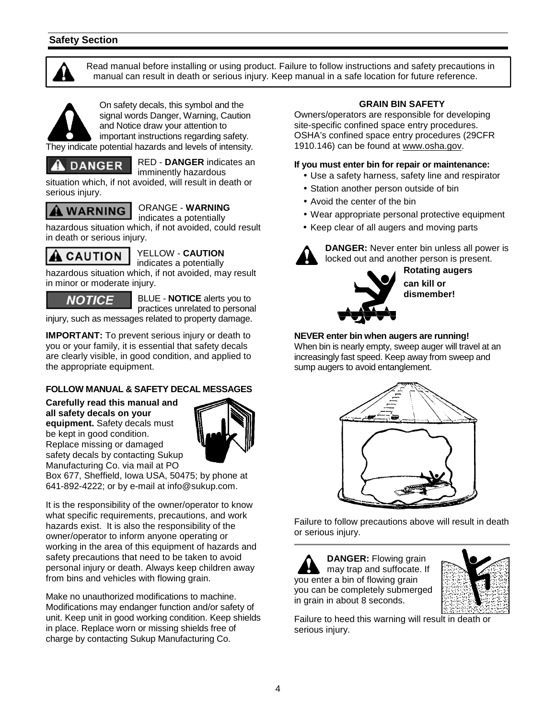#### **Safety Section**



 Read manual before installing or using product. Failure to follow instructions and safety precautions in manual can result in death or serious injury. Keep manual in a safe location for future reference.



They indicate potential hazards and levels of intensity.



RED - **DANGER** indicates an imminently hazardous

situation which, if not avoided, will result in death or serious injury.



#### ORANGE - **WARNING**

indicates a potentially

hazardous situation which, if not avoided, could result in death or serious injury.



YELLOW - **CAUTION** 

indicates a potentially hazardous situation which, if not avoided, may result in minor or moderate injury.

**NOTICE** 

BLUE - **NOTICE** alerts you to practices unrelated to personal

injury, such as messages related to property damage.

**IMPORTANT:** To prevent serious injury or death to you or your family, it is essential that safety decals are clearly visible, in good condition, and applied to the appropriate equipment.

#### **FOLLOW MANUAL & SAFETY DECAL MESSAGES**

**Carefully read this manual and all safety decals on your equipment.** Safety decals must be kept in good condition. Replace missing or damaged safety decals by contacting Sukup Manufacturing Co. via mail at PO



Box 677, Sheffield, Iowa USA, 50475; by phone at 641-892-4222; or by e-mail at info@sukup.com.

It is the responsibility of the owner/operator to know what specific requirements, precautions, and work hazards exist. It is also the responsibility of the owner/operator to inform anyone operating or working in the area of this equipment of hazards and safety precautions that need to be taken to avoid personal injury or death. Always keep children away from bins and vehicles with flowing grain.

Make no unauthorized modifications to machine. Modifications may endanger function and/or safety of unit. Keep unit in good working condition. Keep shields in place. Replace worn or missing shields free of charge by contacting Sukup Manufacturing Co.

#### **GRAIN BIN SAFETY**

Owners/operators are responsible for developing site-specific confined space entry procedures. OSHA's confined space entry procedures (29CFR 1910.146) can be found at www.osha.gov.

#### **If you must enter bin for repair or maintenance:**

- Use a safety harness, safety line and respirator
- Station another person outside of bin
- Avoid the center of the bin
- Wear appropriate personal protective equipment
- Keep clear of all augers and moving parts



**DANGER:** Never enter bin unless all power is locked out and another person is present.



**Rotating augers can kill or dismember!** 

#### **NEVER enter bin when augers are running!**

When bin is nearly empty, sweep auger will travel at an increasingly fast speed. Keep away from sweep and sump augers to avoid entanglement.



Failure to follow precautions above will result in death or serious injury.

**DANGER:** Flowing grain may trap and suffocate. If you enter a bin of flowing grain you can be completely submerged in grain in about 8 seconds.



Failure to heed this warning will result in death or serious injury.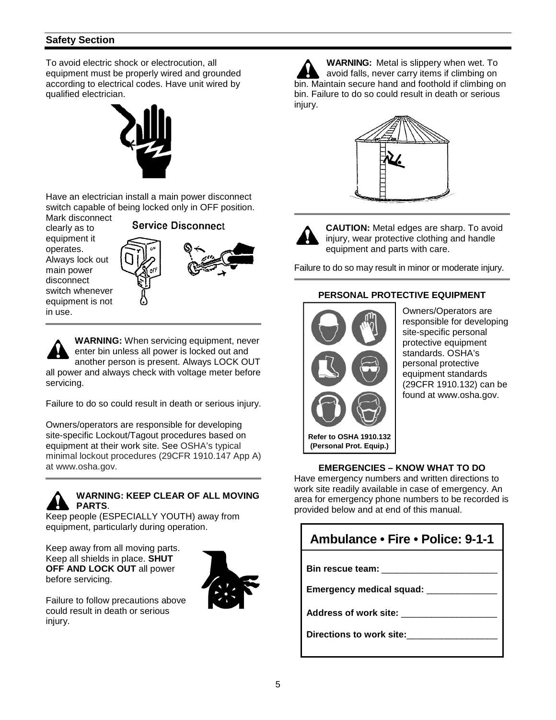#### **Safety Section**

To avoid electric shock or electrocution, all equipment must be properly wired and grounded according to electrical codes. Have unit wired by qualified electrician.



Have an electrician install a main power disconnect switch capable of being locked only in OFF position.

Mark disconnect clearly as to equipment it operates. Always lock out main power disconnect switch whenever equipment is not in use.



**WARNING:** When servicing equipment, never enter bin unless all power is locked out and another person is present. Always LOCK OUT all power and always check with voltage meter before servicing.

Failure to do so could result in death or serious injury.

Owners/operators are responsible for developing site-specific Lockout/Tagout procedures based on equipment at their work site. See OSHA's typical minimal lockout procedures (29CFR 1910.147 App A) at www.osha.gov.

#### **WARNING: KEEP CLEAR OF ALL MOVING PARTS**.

Keep people (ESPECIALLY YOUTH) away from equipment, particularly during operation.

Keep away from all moving parts. Keep all shields in place. **SHUT OFF AND LOCK OUT** all power before servicing.



Failure to follow precautions above could result in death or serious injury.

**WARNING:** Metal is slippery when wet. To avoid falls, never carry items if climbing on bin. Maintain secure hand and foothold if climbing on bin. Failure to do so could result in death or serious injury.





**CAUTION:** Metal edges are sharp. To avoid injury, wear protective clothing and handle equipment and parts with care.

Failure to do so may result in minor or moderate injury.

#### **PERSONAL PROTECTIVE EQUIPMENT**



Owners/Operators are responsible for developing site-specific personal protective equipment standards. OSHA's personal protective equipment standards (29CFR 1910.132) can be found at www.osha.gov.

#### **EMERGENCIES – KNOW WHAT TO DO**

Have emergency numbers and written directions to work site readily available in case of emergency. An area for emergency phone numbers to be recorded is provided below and at end of this manual.

| Ambulance • Fire • Police: 9-1-1 |
|----------------------------------|
| Bin rescue team:                 |
| Emergency medical squad: _       |
| <b>Address of work site:</b>     |
| Directions to work site:         |
|                                  |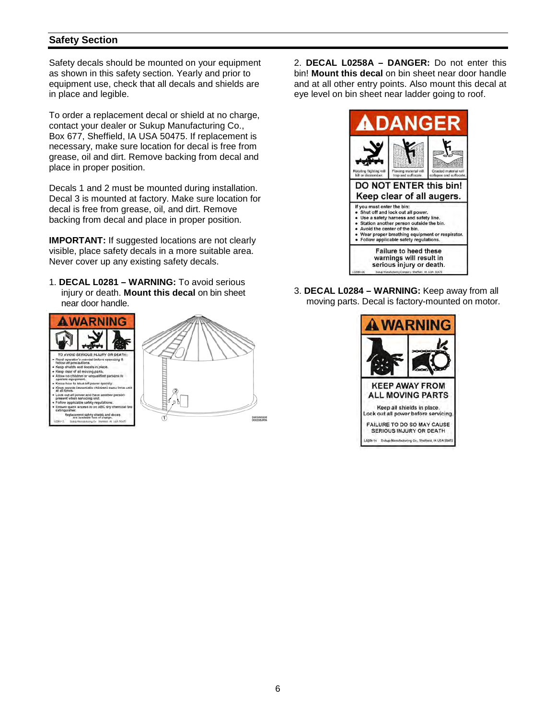#### **Safety Section**

Safety decals should be mounted on your equipment as shown in this safety section. Yearly and prior to equipment use, check that all decals and shields are in place and legible.

To order a replacement decal or shield at no charge, contact your dealer or Sukup Manufacturing Co., Box 677, Sheffield, IA USA 50475. If replacement is necessary, make sure location for decal is free from grease, oil and dirt. Remove backing from decal and place in proper position.

Decals 1 and 2 must be mounted during installation. Decal 3 is mounted at factory. Make sure location for decal is free from grease, oil, and dirt. Remove backing from decal and place in proper position.

**IMPORTANT:** If suggested locations are not clearly visible, place safety decals in a more suitable area. Never cover up any existing safety decals.

1. **DECAL L0281 – WARNING:** To avoid serious injury or death. **Mount this decal** on bin sheet near door handle.



2. **DECAL L0258A – DANGER:** Do not enter this bin! **Mount this decal** on bin sheet near door handle and at all other entry points. Also mount this decal at eye level on bin sheet near ladder going to roof.



3. **DECAL L0284 – WARNING:** Keep away from all moving parts. Decal is factory-mounted on motor.

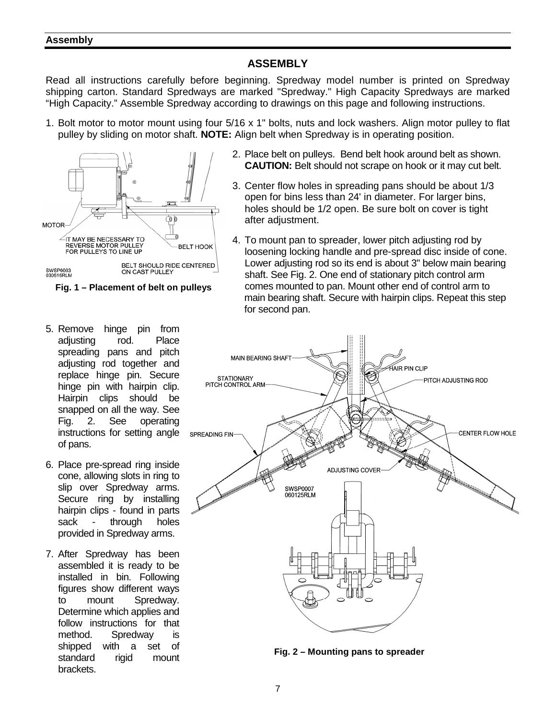#### **Assembly**

#### **ASSEMBLY**

Read all instructions carefully before beginning. Spredway model number is printed on Spredway shipping carton. Standard Spredways are marked "Spredway." High Capacity Spredways are marked "High Capacity." Assemble Spredway according to drawings on this page and following instructions.

1. Bolt motor to motor mount using four 5/16 x 1" bolts, nuts and lock washers. Align motor pulley to flat pulley by sliding on motor shaft. **NOTE:** Align belt when Spredway is in operating position.





- 5. Remove hinge pin from adjusting rod. Place spreading pans and pitch adjusting rod together and replace hinge pin. Secure hinge pin with hairpin clip. Hairpin clips should be snapped on all the way. See Fig. 2. See operating instructions for setting angle of pans.
- 6. Place pre-spread ring inside cone, allowing slots in ring to slip over Spredway arms. Secure ring by installing hairpin clips - found in parts sack - through holes provided in Spredway arms.
- 7. After Spredway has been assembled it is ready to be installed in bin. Following figures show different ways to mount Spredway. Determine which applies and follow instructions for that method. Spredway is shipped with a set of standard rigid mount brackets.
- 2. Place belt on pulleys. Bend belt hook around belt as shown. **CAUTION:** Belt should not scrape on hook or it may cut belt.
- 3. Center flow holes in spreading pans should be about 1/3 open for bins less than 24' in diameter. For larger bins, holes should be 1/2 open. Be sure bolt on cover is tight after adjustment.
- 4. To mount pan to spreader, lower pitch adjusting rod by loosening locking handle and pre-spread disc inside of cone. Lower adjusting rod so its end is about 3" below main bearing shaft. See Fig. 2. One end of stationary pitch control arm comes mounted to pan. Mount other end of control arm to main bearing shaft. Secure with hairpin clips. Repeat this step for second pan.



**Fig. 2 – Mounting pans to spreader**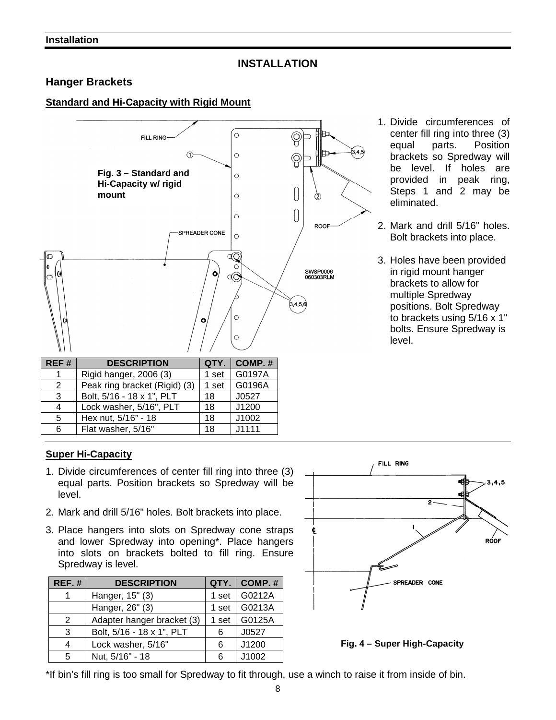#### **INSTALLATION**

#### **Hanger Brackets**

#### **Standard and Hi-Capacity with Rigid Mount**



| REF#          | <b>DESCRIPTION</b>            |       | $QTY.$ COMP. # |
|---------------|-------------------------------|-------|----------------|
|               | Rigid hanger, 2006 (3)        | 1 set | G0197A         |
| $\mathcal{P}$ | Peak ring bracket (Rigid) (3) | 1 set | G0196A         |
| 3             | Bolt, 5/16 - 18 x 1", PLT     | 18    | J0527          |
|               | Lock washer, 5/16", PLT       | 18    | J1200          |
| 5             | Hex nut, 5/16" - 18           | 18    | J1002          |
| 6             | Flat washer, 5/16"            | 18    | J1111          |

- 1. Divide circumferences of center fill ring into three (3) equal parts. Position brackets so Spredway will be level. If holes are provided in peak ring, Steps 1 and 2 may be eliminated.
- 2. Mark and drill 5/16" holes. Bolt brackets into place.
- 3. Holes have been provided in rigid mount hanger brackets to allow for multiple Spredway positions. Bolt Spredway to brackets using 5/16 x 1" bolts. Ensure Spredway is level.

#### **Super Hi-Capacity**

- 1. Divide circumferences of center fill ring into three (3) equal parts. Position brackets so Spredway will be level.
- 2. Mark and drill 5/16" holes. Bolt brackets into place.
- 3. Place hangers into slots on Spredway cone straps and lower Spredway into opening\*. Place hangers into slots on brackets bolted to fill ring. Ensure Spredway is level.

| $REF.$ # | <b>DESCRIPTION</b>         | QTY.  | COMP.# |
|----------|----------------------------|-------|--------|
|          | Hanger, 15" (3)            | 1 set | G0212A |
|          | Hanger, 26" (3)            | 1 set | G0213A |
| 2        | Adapter hanger bracket (3) | 1 set | G0125A |
| 3        | Bolt, 5/16 - 18 x 1", PLT  | 6     | J0527  |
| 4        | Lock washer, 5/16"         | 6     | J1200  |
| 5        | Nut, 5/16" - 18            | 6     | J1002  |



**Fig. 4 – Super High-Capacity** 

\*If bin's fill ring is too small for Spredway to fit through, use a winch to raise it from inside of bin.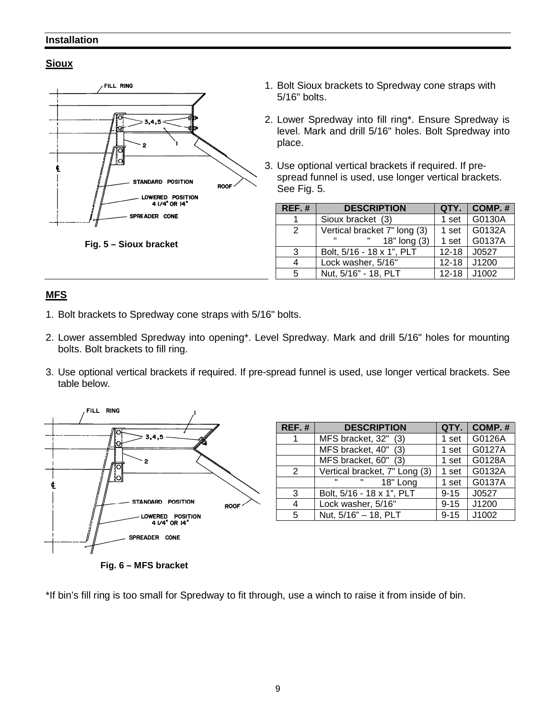#### **Installation**

#### **Sioux**



- 1. Bolt Sioux brackets to Spredway cone straps with 5/16" bolts.
- 2. Lower Spredway into fill ring\*. Ensure Spredway is level. Mark and drill 5/16" holes. Bolt Spredway into place.
- 3. Use optional vertical brackets if required. If pre spread funnel is used, use longer vertical brackets. See Fig. 5.

| REF.# | <b>DESCRIPTION</b>           |           | $QTY.$   COMP. # |
|-------|------------------------------|-----------|------------------|
| 1     | Sioux bracket (3)            | 1 set     | G0130A           |
| 2     | Vertical bracket 7" long (3) | 1 set     | G0132A           |
|       | 18" long (3)                 | 1 set     | G0137A           |
| 3     | Bolt, 5/16 - 18 x 1", PLT    | $12 - 18$ | J0527            |
| 4     | Lock washer, 5/16"           | $12 - 18$ | J1200            |
| 5     | Nut, 5/16" - 18, PLT         | $12 - 18$ | $\vert$ J1002    |

#### **MFS**

- 1. Bolt brackets to Spredway cone straps with 5/16" bolts.
- 2. Lower assembled Spredway into opening\*. Level Spredway. Mark and drill 5/16" holes for mounting bolts. Bolt brackets to fill ring.
- 3. Use optional vertical brackets if required. If pre-spread funnel is used, use longer vertical brackets. See table below.



| REF.# | <b>DESCRIPTION</b>            | QTY.     | $\overline{\phantom{a}}$ COMP. # |
|-------|-------------------------------|----------|----------------------------------|
| 1     | MFS bracket, 32" (3)          | 1 set    | G0126A                           |
|       | MFS bracket, 40" (3)          | 1 set    | G0127A                           |
|       | MFS bracket, 60" (3)          | 1 set    | G0128A                           |
| 2     | Vertical bracket, 7" Long (3) | 1 set    | G0132A                           |
|       | 18" Long<br>п<br>$\mathbf{H}$ | 1 set    | G0137A                           |
| 3     | Bolt, 5/16 - 18 x 1", PLT     | $9 - 15$ | J0527                            |
| 4     | Lock washer, 5/16"            | $9 - 15$ | J1200                            |
| 5     | Nut, 5/16" - 18, PLT          | $9 - 15$ | J1002                            |

**Fig. 6 – MFS bracket** 

\*If bin's fill ring is too small for Spredway to fit through, use a winch to raise it from inside of bin.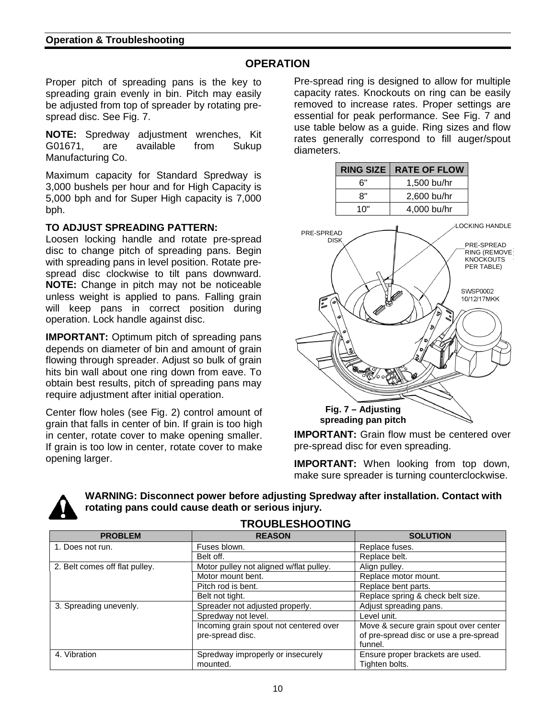#### **OPERATION**

Proper pitch of spreading pans is the key to spreading grain evenly in bin. Pitch may easily be adjusted from top of spreader by rotating prespread disc. See Fig. 7.

**NOTE:** Spredway adjustment wrenches, Kit G01671, are available from Sukup Manufacturing Co.

Maximum capacity for Standard Spredway is 3,000 bushels per hour and for High Capacity is 5,000 bph and for Super High capacity is 7,000 bph.

#### **TO ADJUST SPREADING PATTERN:**

Loosen locking handle and rotate pre-spread disc to change pitch of spreading pans. Begin with spreading pans in level position. Rotate prespread disc clockwise to tilt pans downward. **NOTE:** Change in pitch may not be noticeable unless weight is applied to pans. Falling grain will keep pans in correct position during operation. Lock handle against disc.

**IMPORTANT:** Optimum pitch of spreading pans depends on diameter of bin and amount of grain flowing through spreader. Adjust so bulk of grain hits bin wall about one ring down from eave. To obtain best results, pitch of spreading pans may require adjustment after initial operation.

Center flow holes (see Fig. 2) control amount of grain that falls in center of bin. If grain is too high in center, rotate cover to make opening smaller. If grain is too low in center, rotate cover to make opening larger.

Pre-spread ring is designed to allow for multiple capacity rates. Knockouts on ring can be easily removed to increase rates. Proper settings are essential for peak performance. See Fig. 7 and use table below as a guide. Ring sizes and flow rates generally correspond to fill auger/spout diameters.

|                           | <b>RING SIZE</b>                          | <b>RATE OF FLOW</b> |                                                                     |
|---------------------------|-------------------------------------------|---------------------|---------------------------------------------------------------------|
|                           | 6"                                        | 1,500 bu/hr         |                                                                     |
|                           | 8"                                        | 2,600 bu/hr         |                                                                     |
|                           | 10"                                       | 4,000 bu/hr         |                                                                     |
| PRE-SPREAD<br><b>DISK</b> |                                           |                     | <b>LOCKING HANDLE</b>                                               |
|                           |                                           |                     | PRE-SPREAD<br><b>RING (REMOVE</b><br><b>KNOCKOUTS</b><br>PER TABLE) |
|                           | 6                                         |                     | <b>SWSP0002</b><br>10/12/17MKK                                      |
|                           | 6<br>6<br>e<br><b>BARK</b>                | ە′                  |                                                                     |
|                           | Fig. 7 - Adjusting<br>spreading pan pitch |                     |                                                                     |

**IMPORTANT:** Grain flow must be centered over pre-spread disc for even spreading.

**IMPORTANT:** When looking from top down, make sure spreader is turning counterclockwise.



**WARNING: Disconnect power before adjusting Spredway after installation. Contact with rotating pans could cause death or serious injury.** 

| <b>PROBLEM</b>                 | <b>REASON</b>                           | <b>SOLUTION</b>                        |
|--------------------------------|-----------------------------------------|----------------------------------------|
| 1. Does not run.               | Fuses blown.                            | Replace fuses.                         |
|                                | Belt off.                               | Replace belt.                          |
| 2. Belt comes off flat pulley. | Motor pulley not aligned w/flat pulley. | Align pulley.                          |
|                                | Motor mount bent.                       | Replace motor mount.                   |
|                                | Pitch rod is bent.                      | Replace bent parts.                    |
|                                | Belt not tight.                         | Replace spring & check belt size.      |
| 3. Spreading unevenly.         | Spreader not adjusted properly.         | Adjust spreading pans.                 |
|                                | Spredway not level.                     | Level unit.                            |
|                                | Incoming grain spout not centered over  | Move & secure grain spout over center  |
|                                | pre-spread disc.                        | of pre-spread disc or use a pre-spread |
|                                |                                         | funnel.                                |
| 4. Vibration                   | Spredway improperly or insecurely       | Ensure proper brackets are used.       |
|                                | mounted.                                | Tighten bolts.                         |

**TROUBLESHOOTING**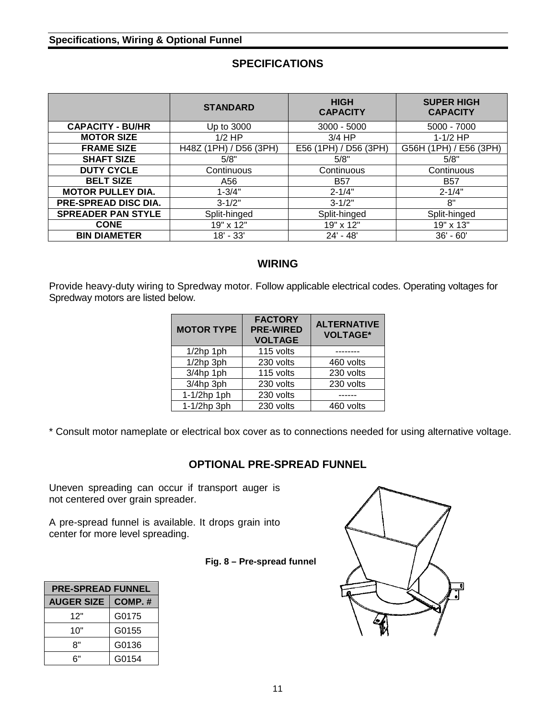#### **Specifications, Wiring & Optional Funnel**

#### **SPECIFICATIONS**

|                           | <b>STANDARD</b>        | <b>HIGH</b><br><b>CAPACITY</b> | <b>SUPER HIGH</b><br><b>CAPACITY</b> |
|---------------------------|------------------------|--------------------------------|--------------------------------------|
| <b>CAPACITY - BU/HR</b>   | Up to 3000             | $3000 - 5000$                  | 5000 - 7000                          |
| <b>MOTOR SIZE</b>         | $1/2$ HP               | $3/4$ HP                       | $1-1/2$ HP                           |
| <b>FRAME SIZE</b>         | H48Z (1PH) / D56 (3PH) | E56 (1PH) / D56 (3PH)          | G56H (1PH) / E56 (3PH)               |
| <b>SHAFT SIZE</b>         | 5/8"                   | 5/8"                           | 5/8"                                 |
| <b>DUTY CYCLE</b>         | Continuous             | Continuous                     | Continuous                           |
| <b>BELT SIZE</b>          | A56                    | <b>B57</b>                     | <b>B57</b>                           |
| <b>MOTOR PULLEY DIA.</b>  | $1 - 3/4"$             | $2 - 1/4"$                     | $2 - 1/4"$                           |
| PRE-SPREAD DISC DIA.      | $3 - 1/2"$             | $3 - 1/2"$                     | 8"                                   |
| <b>SPREADER PAN STYLE</b> | Split-hinged           | Split-hinged                   | Split-hinged                         |
| <b>CONE</b>               | 19" x 12"              | 19" x 12"                      | 19" x 13"                            |
| <b>BIN DIAMETER</b>       | $18' - 33'$            | $24' - 48'$                    | $36' - 60'$                          |

#### **WIRING**

Provide heavy-duty wiring to Spredway motor. Follow applicable electrical codes. Operating voltages for Spredway motors are listed below.

| <b>MOTOR TYPE</b> | <b>FACTORY</b><br><b>PRE-WIRED</b><br><b>VOLTAGE</b> | <b>ALTERNATIVE</b><br><b>VOLTAGE*</b> |
|-------------------|------------------------------------------------------|---------------------------------------|
| $1/2$ hp 1ph      | 115 volts                                            |                                       |
| $1/2$ hp $3ph$    | 230 volts                                            | 460 volts                             |
| $3/4$ hp 1ph      | 115 volts                                            | 230 volts                             |
| 3/4hp 3ph         | 230 volts                                            | 230 volts                             |
| 1-1/2hp 1ph       | 230 volts                                            |                                       |
| 1-1/2hp 3ph       | 230 volts                                            | 460 volts                             |

\* Consult motor nameplate or electrical box cover as to connections needed for using alternative voltage.

#### **OPTIONAL PRE-SPREAD FUNNEL**

Uneven spreading can occur if transport auger is not centered over grain spreader.

A pre-spread funnel is available. It drops grain into center for more level spreading.

#### **Fig. 8 – Pre-spread funnel**

| <b>PRE-SPREAD FUNNEL</b>    |       |  |  |
|-----------------------------|-------|--|--|
| <b>AUGER SIZE</b><br>COMP.# |       |  |  |
| G0175<br>12"                |       |  |  |
| G0155<br>10"                |       |  |  |
| G0136<br>8"                 |       |  |  |
| ิ 6"                        | G0154 |  |  |

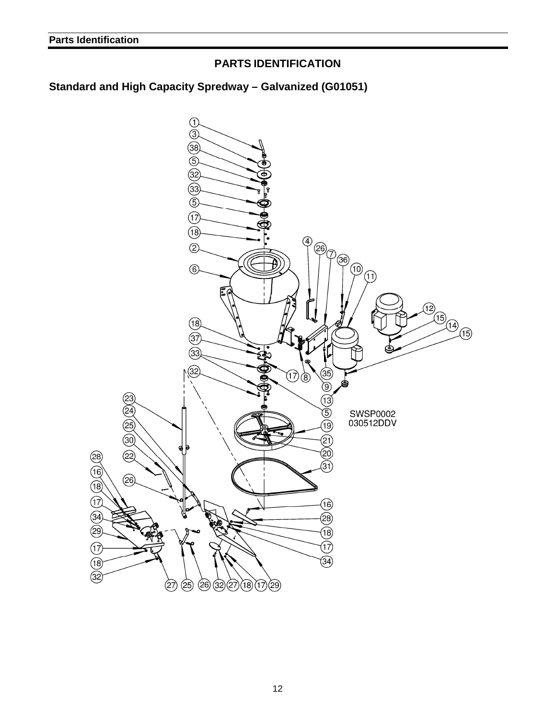#### **PARTS IDENTIFICATION**

#### **Standard and High Capacity Spredway – Galvanized (G01051)**

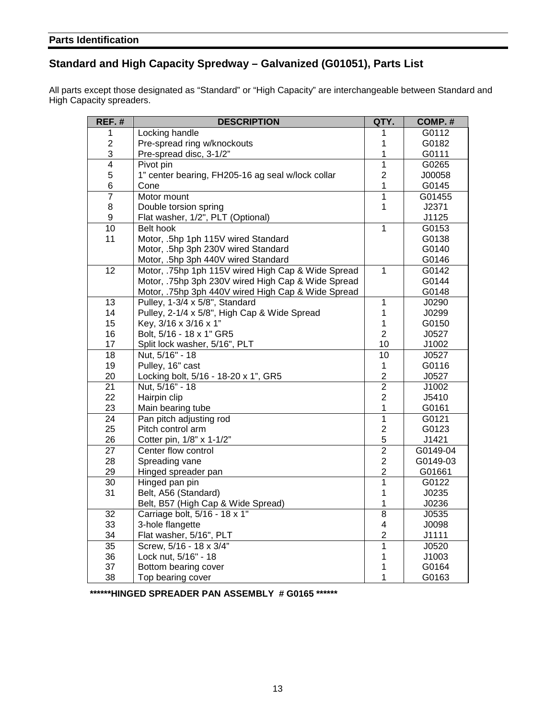#### **Standard and High Capacity Spredway – Galvanized (G01051), Parts List**

All parts except those designated as "Standard" or "High Capacity" are interchangeable between Standard and High Capacity spreaders.

| $REF.$ #        | <b>DESCRIPTION</b>                                 | QTY.           | COMP.#   |
|-----------------|----------------------------------------------------|----------------|----------|
| 1               | Locking handle                                     | 1              | G0112    |
| $\overline{c}$  | Pre-spread ring w/knockouts                        | 1              | G0182    |
| 3               | Pre-spread disc, 3-1/2"                            | 1              | G0111    |
| $\overline{4}$  | Pivot pin                                          | $\overline{1}$ | G0265    |
| 5               | 1" center bearing, FH205-16 ag seal w/lock collar  | $\overline{c}$ | J00058   |
| 6               | Cone                                               | $\mathbf{1}$   | G0145    |
| $\overline{7}$  | Motor mount                                        | $\mathbf{1}$   | G01455   |
| 8               | Double torsion spring                              | $\mathbf{1}$   | J2371    |
| 9               | Flat washer, 1/2", PLT (Optional)                  |                | J1125    |
| $\overline{10}$ | Belt hook                                          | $\mathbf{1}$   | G0153    |
| 11              | Motor, .5hp 1ph 115V wired Standard                |                | G0138    |
|                 | Motor, .5hp 3ph 230V wired Standard                |                | G0140    |
|                 | Motor, .5hp 3ph 440V wired Standard                |                | G0146    |
| $\overline{12}$ | Motor, .75hp 1ph 115V wired High Cap & Wide Spread | $\mathbf{1}$   | G0142    |
|                 | Motor, .75hp 3ph 230V wired High Cap & Wide Spread |                | G0144    |
|                 | Motor, .75hp 3ph 440V wired High Cap & Wide Spread |                | G0148    |
| 13              | Pulley, 1-3/4 x 5/8", Standard                     | 1              | J0290    |
| 14              | Pulley, 2-1/4 x 5/8", High Cap & Wide Spread       | $\mathbf{1}$   | J0299    |
| 15              | Key, 3/16 x 3/16 x 1"                              | $\mathbf{1}$   | G0150    |
| 16              | Bolt, 5/16 - 18 x 1" GR5                           | $\overline{2}$ | J0527    |
| 17              | Split lock washer, 5/16", PLT                      | 10             | J1002    |
| 18              | Nut, 5/16" - 18                                    | 10             | J0527    |
| 19              | Pulley, 16" cast                                   | $\mathbf{1}$   | G0116    |
| 20              | Locking bolt, 5/16 - 18-20 x 1", GR5               | $\overline{c}$ | J0527    |
| 21              | Nut, 5/16" - 18                                    | $\overline{c}$ | J1002    |
| 22              | Hairpin clip                                       | $\overline{2}$ | J5410    |
| 23              | Main bearing tube                                  | $\mathbf{1}$   | G0161    |
| 24              | Pan pitch adjusting rod                            | $\overline{1}$ | G0121    |
| 25              | Pitch control arm                                  | $\overline{c}$ | G0123    |
| 26              | Cotter pin, 1/8" x 1-1/2"                          | 5              | J1421    |
| $\overline{27}$ | Center flow control                                | $\overline{2}$ | G0149-04 |
| 28              | Spreading vane                                     | $\overline{2}$ | G0149-03 |
| 29              | Hinged spreader pan                                | $\overline{2}$ | G01661   |
| 30              | Hinged pan pin                                     | $\overline{1}$ | G0122    |
| 31              | Belt, A56 (Standard)                               | $\mathbf 1$    | J0235    |
|                 | Belt, B57 (High Cap & Wide Spread)                 | $\mathbf 1$    | J0236    |
| 32              | Carriage bolt, 5/16 - 18 x 1"                      | 8              | J0535    |
| 33              | 3-hole flangette                                   | 4              | J0098    |
| 34              | Flat washer, 5/16", PLT                            | $\overline{2}$ | J1111    |
| 35              | Screw, 5/16 - 18 x 3/4"                            | 1              | J0520    |
| 36              | Lock nut, 5/16" - 18                               | 1              | J1003    |
| 37              | Bottom bearing cover                               | 1              | G0164    |
| 38              | Top bearing cover                                  | $\mathbf{1}$   | G0163    |

**\*\*\*\*\*\*HINGED SPREADER PAN ASSEMBLY # G0165 \*\*\*\*\*\***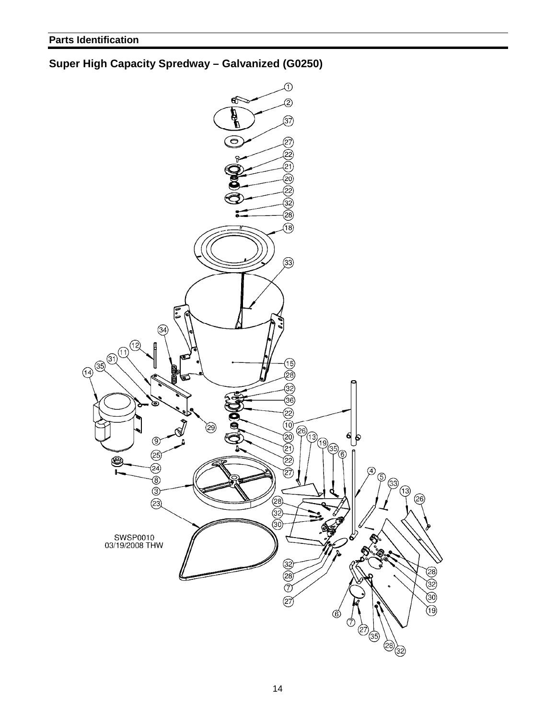#### **Super High Capacity Spredway – Galvanized (G0250)**

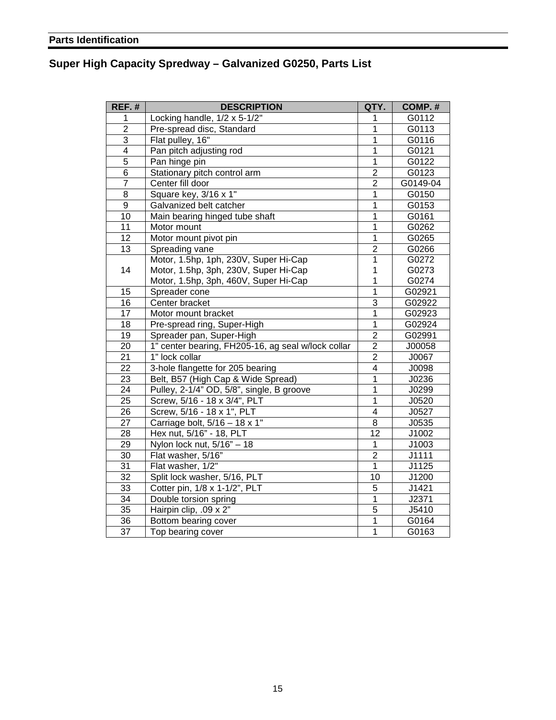#### **Super High Capacity Spredway – Galvanized G0250, Parts List**

| REF.#                   | <b>DESCRIPTION</b>                                 | QTY.                    | COMP.#   |
|-------------------------|----------------------------------------------------|-------------------------|----------|
| 1                       | Locking handle, 1/2 x 5-1/2"                       | 1                       | G0112    |
| $\overline{2}$          | Pre-spread disc, Standard                          | $\overline{1}$          | G0113    |
| $\overline{3}$          | Flat pulley, 16"                                   | $\overline{1}$          | G0116    |
| $\overline{\mathbf{4}}$ | Pan pitch adjusting rod                            | $\mathbf{1}$            | G0121    |
| $\overline{5}$          | Pan hinge pin                                      | 1                       | G0122    |
| $\,6$                   | Stationary pitch control arm                       | $\overline{c}$          | G0123    |
| $\overline{7}$          | Center fill door                                   | $\overline{2}$          | G0149-04 |
| $\overline{8}$          | Square key, 3/16 x 1"                              | $\mathbf{1}$            | G0150    |
| $\overline{9}$          | Galvanized belt catcher                            | $\overline{1}$          | G0153    |
| 10                      | Main bearing hinged tube shaft                     | $\overline{1}$          | G0161    |
| 11                      | Motor mount                                        | $\overline{1}$          | G0262    |
| 12                      | Motor mount pivot pin                              | $\mathbf{1}$            | G0265    |
| 13                      | Spreading vane                                     | $\overline{2}$          | G0266    |
|                         | Motor, 1.5hp, 1ph, 230V, Super Hi-Cap              | $\mathbf{1}$            | G0272    |
| 14                      | Motor, 1.5hp, 3ph, 230V, Super Hi-Cap              | 1                       | G0273    |
|                         | Motor, 1.5hp, 3ph, 460V, Super Hi-Cap              | 1                       | G0274    |
| 15                      | Spreader cone                                      | $\overline{1}$          | G02921   |
| 16                      | Center bracket                                     | $\overline{3}$          | G02922   |
| 17                      | Motor mount bracket                                | $\overline{1}$          | G02923   |
| 18                      | Pre-spread ring, Super-High                        | 1                       | G02924   |
| 19                      | Spreader pan, Super-High                           | $\overline{2}$          | G02991   |
| $\overline{20}$         | 1" center bearing, FH205-16, ag seal w/lock collar | $\overline{2}$          | J00058   |
| $\overline{21}$         | 1" lock collar                                     | $\overline{2}$          | J0067    |
| $\overline{22}$         | 3-hole flangette for 205 bearing                   | $\overline{\mathbf{4}}$ | J0098    |
| $\overline{23}$         | Belt, B57 (High Cap & Wide Spread)                 | $\overline{1}$          | J0236    |
| $\overline{24}$         | Pulley, 2-1/4" OD, 5/8", single, B groove          | $\overline{1}$          | J0299    |
| $\overline{25}$         | Screw, 5/16 - 18 x 3/4", PLT                       | $\overline{1}$          | J0520    |
| 26                      | Screw, 5/16 - 18 x 1", PLT                         | $\overline{\mathbf{4}}$ | J0527    |
| $\overline{27}$         | Carriage bolt, 5/16 - 18 x 1"                      | 8                       | J0535    |
| $\overline{28}$         | Hex nut, 5/16" - 18, PLT                           | $\overline{12}$         | J1002    |
| $\overline{29}$         | Nylon lock nut, $5/16" - 18$                       | $\overline{1}$          | J1003    |
| 30                      | Flat washer, 5/16"                                 | $\overline{2}$          | J1111    |
| $\overline{31}$         | Flat washer, 1/2"                                  | $\overline{1}$          | J1125    |
| $\overline{32}$         | Split lock washer, 5/16, PLT                       | 10                      | J1200    |
| 33                      | Cotter pin, 1/8 x 1-1/2", PLT                      | 5                       | J1421    |
| 34                      | Double torsion spring                              | 1                       | J2371    |
| $\overline{35}$         | Hairpin clip, .09 x 2"                             | $\overline{5}$          | J5410    |
| 36                      | Bottom bearing cover                               | $\overline{1}$          | G0164    |
| $\overline{37}$         | Top bearing cover                                  | $\overline{1}$          | G0163    |